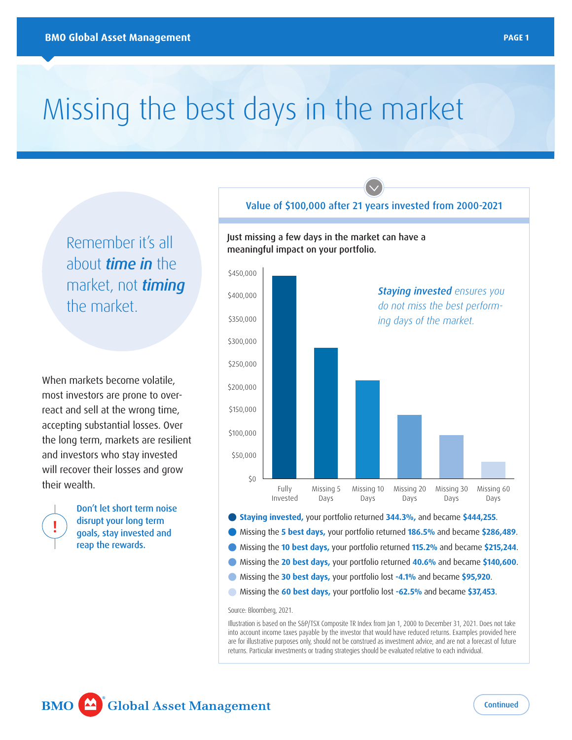# Missing the best days in the market

Remember it's all about *time in* the market, not *timing* the market.

When markets become volatile, most investors are prone to overreact and sell at the wrong time, accepting substantial losses. Over the long term, markets are resilient and investors who stay invested will recover their losses and grow their wealth.



Don't let short term noise disrupt your long term goals, stay invested and reap the rewards.

## Value of \$100,000 after 21 years invested from 2000-2021 Just missing a few days in the market can have a meaningful impact on your portfolio.



- **•** Missing the **30 best days,** your portfolio lost **-4.1%** and became **\$95,920**.
- **•** Missing the **60 best days,** your portfolio lost **-62.5%** and became **\$37,453**.

Source: Bloomberg, 2021.

Illustration is based on the S&P/TSX Composite TR Index from Jan 1, 2000 to December 31, 2021. Does not take into account income taxes payable by the investor that would have reduced returns. Examples provided here are for illustrative purposes only, should not be construed as investment advice, and are not a forecast of future returns. Particular investments or trading strategies should be evaluated relative to each individual.